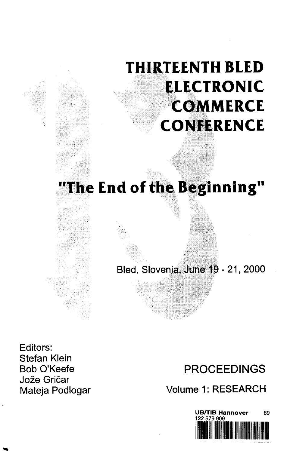# **THIRTEENTH BLED ELECTRONIC COMMERCE CONFERENCE**

## **"The End of the Beginning"**

Bled, Slovenia, June 19-21, 2000

Editors: Stefan Klein Bob O'Keefe Jože Gričar Mateja Podlogar

## PROCEEDINGS

Volume 1: RESEARCH

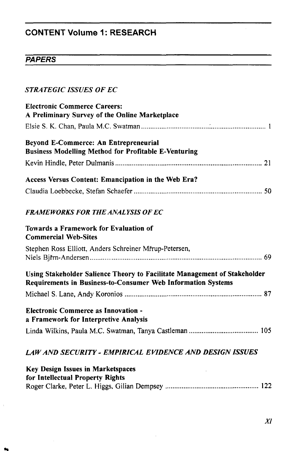### **CONTENT Volume 1: RESEARCH**

#### **PAPERS**

#### *STRATEGIC ISSUES OF EC*

| <b>Electronic Commerce Careers:</b><br>A Preliminary Survey of the Online Marketplace                                                     |
|-------------------------------------------------------------------------------------------------------------------------------------------|
|                                                                                                                                           |
| <b>Beyond E-Commerce: An Entrepreneurial</b><br><b>Business Modelling Method for Profitable E-Venturing</b>                               |
|                                                                                                                                           |
| Access Versus Content: Emancipation in the Web Era?                                                                                       |
|                                                                                                                                           |
| <b>FRAMEWORKS FOR THE ANALYSIS OF EC</b>                                                                                                  |
| <b>Towards a Framework for Evaluation of</b><br><b>Commercial Web-Sites</b>                                                               |
| Stephen Ross Elliott, Anders Schreiner Mřrup-Petersen,                                                                                    |
|                                                                                                                                           |
| Using Stakeholder Salience Theory to Facilitate Management of Stakeholder<br>Requirements in Business-to-Consumer Web Information Systems |
|                                                                                                                                           |
| <b>Electronic Commerce as Innovation -</b><br>a Framework for Interpretive Analysis                                                       |
|                                                                                                                                           |
| LAW AND SECURITY - EMPIRICAL EVIDENCE AND DESIGN ISSUES                                                                                   |
| <b>Key Design Issues in Marketspaces</b>                                                                                                  |

|  | for Intellectual Property Rights |  |  |
|--|----------------------------------|--|--|
|  |                                  |  |  |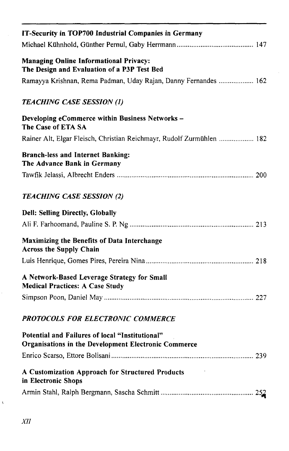| IT-Security in TOP700 Industrial Companies in Germany                                                          |
|----------------------------------------------------------------------------------------------------------------|
| <b>Managing Online Informational Privacy:</b><br>The Design and Evaluation of a P3P Test Bed                   |
| Ramayya Krishnan, Rema Padman, Uday Rajan, Danny Fernandes  162                                                |
| <b>TEACHING CASE SESSION (1)</b>                                                                               |
| Developing eCommerce within Business Networks -<br>The Case of ETA SA                                          |
| Rainer Alt, Elgar Fleisch, Christian Reichmayr, Rudolf Zurmühlen  182                                          |
| <b>Branch-less and Internet Banking:</b><br>The Advance Bank in Germany                                        |
|                                                                                                                |
| <b>TEACHING CASE SESSION (2)</b>                                                                               |
| Dell: Selling Directly, Globally                                                                               |
|                                                                                                                |
| Maximizing the Benefits of Data Interchange<br><b>Across the Supply Chain</b>                                  |
|                                                                                                                |
| A Network-Based Leverage Strategy for Small<br><b>Medical Practices: A Case Study</b>                          |
|                                                                                                                |
| PROTOCOLS FOR ELECTRONIC COMMERCE                                                                              |
| Potential and Failures of local "Institutional"<br><b>Organisations in the Development Electronic Commerce</b> |
|                                                                                                                |
| A Customization Approach for Structured Products<br>in Electronic Shops                                        |
| 252                                                                                                            |

 $\acute{\text{t}}$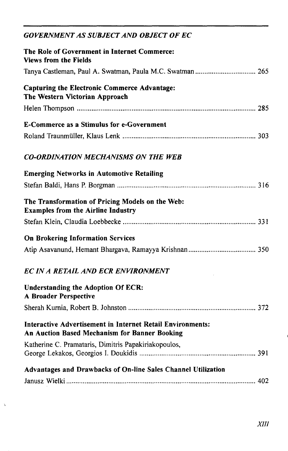#### *GOVERNMENT AS SUBJECT AND OBJECT OF EC*

 $\gamma$ 

| The Role of Government in Internet Commerce:<br><b>Views from the Fields</b>                                       |
|--------------------------------------------------------------------------------------------------------------------|
| Tanya Castleman, Paul A. Swatman, Paula M.C. Swatman  265                                                          |
| <b>Capturing the Electronic Commerce Advantage:</b><br>The Western Victorian Approach                              |
|                                                                                                                    |
| <b>E-Commerce as a Stimulus for e-Government</b>                                                                   |
|                                                                                                                    |
| <b>CO-ORDINATION MECHANISMS ON THE WEB</b>                                                                         |
| <b>Emerging Networks in Automotive Retailing</b>                                                                   |
|                                                                                                                    |
| The Transformation of Pricing Models on the Web:<br><b>Examples from the Airline Industry</b>                      |
|                                                                                                                    |
| <b>On Brokering Information Services</b>                                                                           |
|                                                                                                                    |
| <b>EC IN A RETAIL AND ECR ENVIRONMENT</b>                                                                          |
| <b>Understanding the Adoption Of ECR:</b><br>A Broader Perspective                                                 |
|                                                                                                                    |
| <b>Interactive Advertisement in Internet Retail Environments:</b><br>An Auction Based Mechanism for Banner Booking |
| Katherine C. Pramataris, Dimitris Papakiriakopoulos,                                                               |
| Advantages and Drawbacks of On-line Sales Channel Utilization                                                      |
|                                                                                                                    |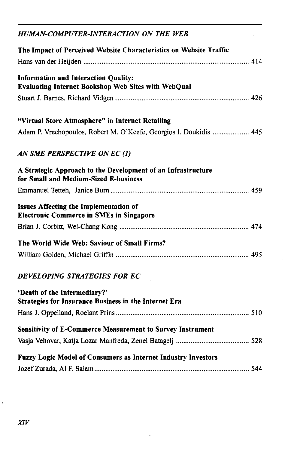| HUMAN-COMPUTER-INTERACTION ON THE WEB                                                                 |
|-------------------------------------------------------------------------------------------------------|
| The Impact of Perceived Website Characteristics on Website Traffic                                    |
|                                                                                                       |
| <b>Information and Interaction Quality:</b><br>Evaluating Internet Bookshop Web Sites with WebQual    |
|                                                                                                       |
| "Virtual Store Atmosphere" in Internet Retailing                                                      |
| Adam P. Vrechopoulos, Robert M. O'Keefe, Georgios I. Doukidis  445                                    |
| AN SME PERSPECTIVE ON EC (1)                                                                          |
| A Strategic Approach to the Development of an Infrastructure<br>for Small and Medium-Sized E-business |
|                                                                                                       |
| Issues Affecting the Implementation of<br><b>Electronic Commerce in SMEs in Singapore</b>             |
|                                                                                                       |
| The World Wide Web: Saviour of Small Firms?                                                           |
|                                                                                                       |
| DEVELOPING STRATEGIES FOR EC                                                                          |
| 'Death of the Intermediary?'<br>Strategies for Insurance Business in the Internet Era                 |
|                                                                                                       |
| Sensitivity of E-Commerce Measurement to Survey Instrument                                            |
|                                                                                                       |
| Fuzzy Logic Model of Consumers as Internet Industry Investors                                         |
|                                                                                                       |

 $\ddot{\phantom{0}}$ 

 $\hat{\epsilon}$ 

 $\hat{\mathbf{y}}$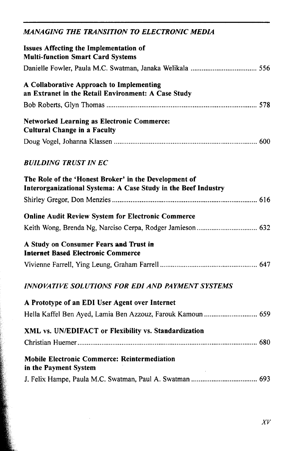#### *MANAGING THE TRANSITION TO ELECTRONIC MEDIA*

| Issues Affecting the Implementation of<br><b>Multi-function Smart Card Systems</b>                                      |
|-------------------------------------------------------------------------------------------------------------------------|
|                                                                                                                         |
| A Collaborative Approach to Implementing<br>an Extranet in the Retail Environment: A Case Study                         |
|                                                                                                                         |
| <b>Networked Learning as Electronic Commerce:</b><br><b>Cultural Change in a Faculty</b>                                |
|                                                                                                                         |
| <b>BUILDING TRUST IN EC</b>                                                                                             |
| The Role of the 'Honest Broker' in the Development of<br>Interorganizational Systema: A Case Study in the Beef Industry |
|                                                                                                                         |
| <b>Online Audit Review System for Electronic Commerce</b>                                                               |
|                                                                                                                         |
| A Study on Consumer Fears and Trust in<br><b>Internet Based Electronic Commerce</b>                                     |
|                                                                                                                         |
| <b>INNOVATIVE SOLUTIONS FOR EDI AND PAYMENT SYSTEMS</b>                                                                 |
| A Prototype of an EDI User Agent over Internet                                                                          |
| Hella Kaffel Ben Ayed, Lamia Ben Azzouz, Farouk Kamoun  659                                                             |
| XML vs. UN/EDIFACT or Flexibility vs. Standardization                                                                   |
|                                                                                                                         |
| <b>Mobile Electronic Commerce: Reintermediation</b><br>in the Payment System                                            |
|                                                                                                                         |